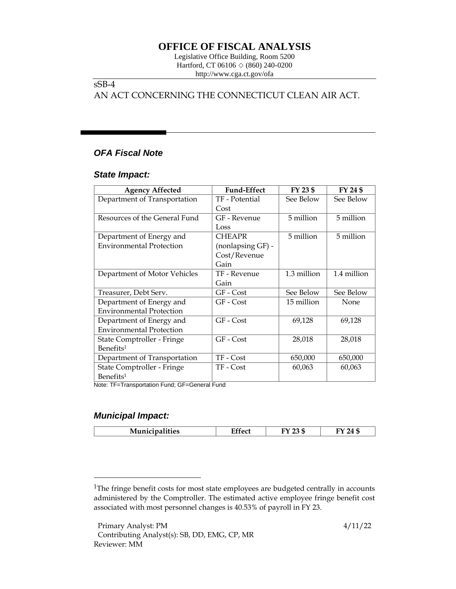# **OFFICE OF FISCAL ANALYSIS**

Legislative Office Building, Room 5200 Hartford, CT 06106  $\Diamond$  (860) 240-0200 http://www.cga.ct.gov/ofa

### sSB-4

## AN ACT CONCERNING THE CONNECTICUT CLEAN AIR ACT.

# *OFA Fiscal Note*

#### *State Impact:*

| <b>Agency Affected</b>          | <b>Fund-Effect</b> | FY 23 \$    | FY 24 \$    |
|---------------------------------|--------------------|-------------|-------------|
| Department of Transportation    | TF - Potential     | See Below   | See Below   |
|                                 | Cost               |             |             |
| Resources of the General Fund   | GF - Revenue       | 5 million   | 5 million   |
|                                 | Loss               |             |             |
| Department of Energy and        | <b>CHEAPR</b>      | 5 million   | 5 million   |
| <b>Environmental Protection</b> | (nonlapsing GF) -  |             |             |
|                                 | Cost/Revenue       |             |             |
|                                 | Gain               |             |             |
| Department of Motor Vehicles    | TF - Revenue       | 1.3 million | 1.4 million |
|                                 | Gain               |             |             |
| Treasurer, Debt Serv.           | GF - Cost          | See Below   | See Below   |
| Department of Energy and        | $GF - Cost$        | 15 million  | None        |
| <b>Environmental Protection</b> |                    |             |             |
| Department of Energy and        | GF - Cost          | 69,128      | 69,128      |
| <b>Environmental Protection</b> |                    |             |             |
| State Comptroller - Fringe      | GF - Cost          | 28,018      | 28,018      |
| Benefits <sup>1</sup>           |                    |             |             |
| Department of Transportation    | TF - Cost          | 650,000     | 650,000     |
| State Comptroller - Fringe      | TF - Cost          | 60,063      | 60,063      |
| Benefits <sup>1</sup>           |                    |             |             |

<span id="page-0-0"></span>Note: TF=Transportation Fund; GF=General Fund

### *Municipal Impact:*

| $\cdots$<br>$\sim$<br>.cs | - - -<br>------ | --<br>$\sim$ $\sim$ $\sim$ | ,,<br>-- |
|---------------------------|-----------------|----------------------------|----------|
|                           |                 |                            |          |

<sup>&</sup>lt;sup>1</sup>The fringe benefit costs for most state employees are budgeted centrally in accounts administered by the Comptroller. The estimated active employee fringe benefit cost associated with most personnel changes is 40.53% of payroll in FY 23.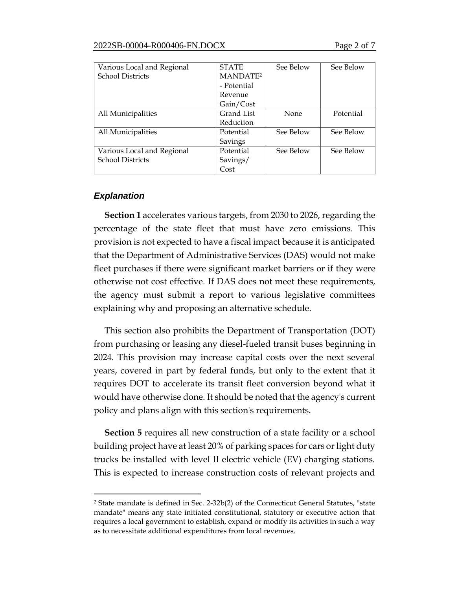| Various Local and Regional | <b>STATE</b>         | See Below | See Below |
|----------------------------|----------------------|-----------|-----------|
| <b>School Districts</b>    | MANDATE <sup>2</sup> |           |           |
|                            | - Potential          |           |           |
|                            | Revenue              |           |           |
|                            | Gain/Cost            |           |           |
| All Municipalities         | Grand List           | None      | Potential |
|                            | Reduction            |           |           |
| All Municipalities         | Potential            | See Below | See Below |
|                            | Savings              |           |           |
| Various Local and Regional | Potential            | See Below | See Below |
| <b>School Districts</b>    | Savings/             |           |           |
|                            | Cost                 |           |           |

### *Explanation*

**Section 1** accelerates various targets, from 2030 to 2026, regarding the percentage of the state fleet that must have zero emissions. This provision is not expected to have a fiscal impact because it is anticipated that the Department of Administrative Services (DAS) would not make fleet purchases if there were significant market barriers or if they were otherwise not cost effective. If DAS does not meet these requirements, the agency must submit a report to various legislative committees explaining why and proposing an alternative schedule.

This section also prohibits the Department of Transportation (DOT) from purchasing or leasing any diesel-fueled transit buses beginning in 2024. This provision may increase capital costs over the next several years, covered in part by federal funds, but only to the extent that it requires DOT to accelerate its transit fleet conversion beyond what it would have otherwise done. It should be noted that the agency's current policy and plans align with this section's requirements.

**Section 5** requires all new construction of a state facility or a school building project have at least 20% of parking spaces for cars or light duty trucks be installed with level II electric vehicle (EV) charging stations. This is expected to increase construction costs of relevant projects and

<sup>2</sup> State mandate is defined in Sec. 2-32b(2) of the Connecticut General Statutes, "state mandate" means any state initiated constitutional, statutory or executive action that requires a local government to establish, expand or modify its activities in such a way as to necessitate additional expenditures from local revenues.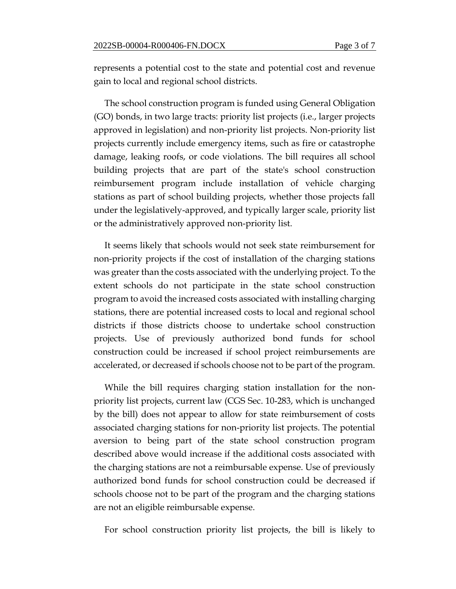represents a potential cost to the state and potential cost and revenue gain to local and regional school districts.

The school construction program is funded using General Obligation (GO) bonds, in two large tracts: priority list projects (i.e., larger projects approved in legislation) and non-priority list projects. Non-priority list projects currently include emergency items, such as fire or catastrophe damage, leaking roofs, or code violations. The bill requires all school building projects that are part of the state's school construction reimbursement program include installation of vehicle charging stations as part of school building projects, whether those projects fall under the legislatively-approved, and typically larger scale, priority list or the administratively approved non-priority list.

It seems likely that schools would not seek state reimbursement for non-priority projects if the cost of installation of the charging stations was greater than the costs associated with the underlying project. To the extent schools do not participate in the state school construction program to avoid the increased costs associated with installing charging stations, there are potential increased costs to local and regional school districts if those districts choose to undertake school construction projects. Use of previously authorized bond funds for school construction could be increased if school project reimbursements are accelerated, or decreased if schools choose not to be part of the program.

While the bill requires charging station installation for the nonpriority list projects, current law (CGS Sec. 10-283, which is unchanged by the bill) does not appear to allow for state reimbursement of costs associated charging stations for non-priority list projects. The potential aversion to being part of the state school construction program described above would increase if the additional costs associated with the charging stations are not a reimbursable expense. Use of previously authorized bond funds for school construction could be decreased if schools choose not to be part of the program and the charging stations are not an eligible reimbursable expense.

For school construction priority list projects, the bill is likely to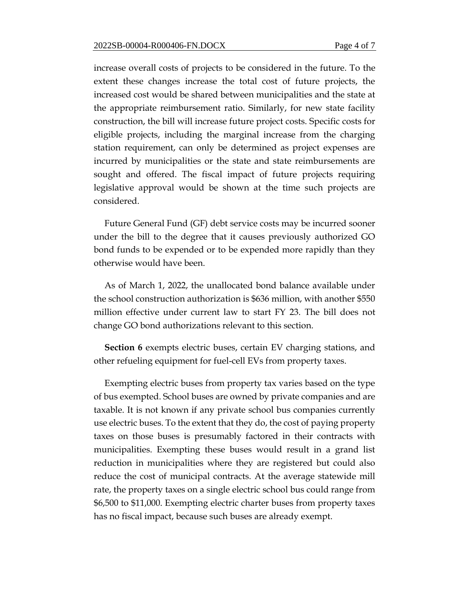increase overall costs of projects to be considered in the future. To the extent these changes increase the total cost of future projects, the increased cost would be shared between municipalities and the state at the appropriate reimbursement ratio. Similarly, for new state facility construction, the bill will increase future project costs. Specific costs for eligible projects, including the marginal increase from the charging station requirement, can only be determined as project expenses are incurred by municipalities or the state and state reimbursements are sought and offered. The fiscal impact of future projects requiring legislative approval would be shown at the time such projects are considered.

Future General Fund (GF) debt service costs may be incurred sooner under the bill to the degree that it causes previously authorized GO bond funds to be expended or to be expended more rapidly than they otherwise would have been.

As of March 1, 2022, the unallocated bond balance available under the school construction authorization is \$636 million, with another \$550 million effective under current law to start FY 23. The bill does not change GO bond authorizations relevant to this section.

**Section 6** exempts electric buses, certain EV charging stations, and other refueling equipment for fuel-cell EVs from property taxes.

Exempting electric buses from property tax varies based on the type of bus exempted. School buses are owned by private companies and are taxable. It is not known if any private school bus companies currently use electric buses. To the extent that they do, the cost of paying property taxes on those buses is presumably factored in their contracts with municipalities. Exempting these buses would result in a grand list reduction in municipalities where they are registered but could also reduce the cost of municipal contracts. At the average statewide mill rate, the property taxes on a single electric school bus could range from \$6,500 to \$11,000. Exempting electric charter buses from property taxes has no fiscal impact, because such buses are already exempt.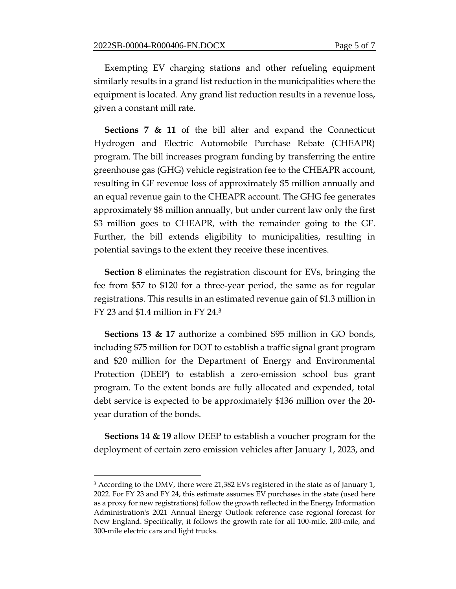Exempting EV charging stations and other refueling equipment similarly results in a grand list reduction in the municipalities where the equipment is located. Any grand list reduction results in a revenue loss, given a constant mill rate.

**Sections 7 & 11** of the bill alter and expand the Connecticut Hydrogen and Electric Automobile Purchase Rebate (CHEAPR) program. The bill increases program funding by transferring the entire greenhouse gas (GHG) vehicle registration fee to the CHEAPR account, resulting in GF revenue loss of approximately \$5 million annually and an equal revenue gain to the CHEAPR account. The GHG fee generates approximately \$8 million annually, but under current law only the first \$3 million goes to CHEAPR, with the remainder going to the GF. Further, the bill extends eligibility to municipalities, resulting in potential savings to the extent they receive these incentives.

**Section 8** eliminates the registration discount for EVs, bringing the fee from \$57 to \$120 for a three-year period, the same as for regular registrations. This results in an estimated revenue gain of \$1.3 million in FY 23 and \$1.4 million in FY 24.<sup>3</sup>

**Sections 13 & 17** authorize a combined \$95 million in GO bonds, including \$75 million for DOT to establish a traffic signal grant program and \$20 million for the Department of Energy and Environmental Protection (DEEP) to establish a zero-emission school bus grant program. To the extent bonds are fully allocated and expended, total debt service is expected to be approximately \$136 million over the 20 year duration of the bonds.

**Sections 14 & 19** allow DEEP to establish a voucher program for the deployment of certain zero emission vehicles after January 1, 2023, and

<sup>&</sup>lt;sup>3</sup> According to the DMV, there were 21,382 EVs registered in the state as of January 1, 2022. For FY 23 and FY 24, this estimate assumes EV purchases in the state (used here as a proxy for new registrations) follow the growth reflected in the Energy Information Administration's 2021 Annual Energy Outlook reference case regional forecast for New England. Specifically, it follows the growth rate for all 100-mile, 200-mile, and 300-mile electric cars and light trucks.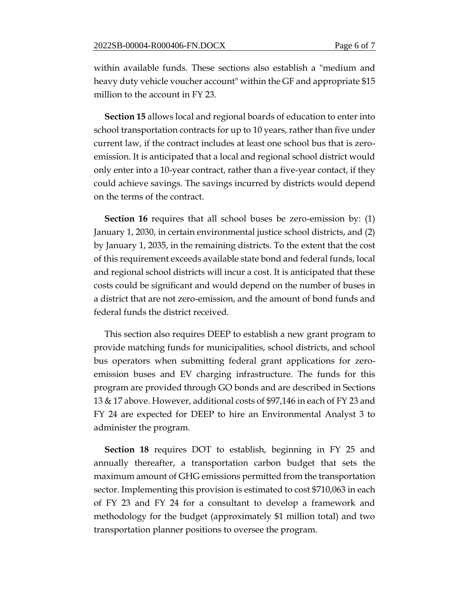within available funds. These sections also establish a "medium and heavy duty vehicle voucher account" within the GF and appropriate \$15 million to the account in FY 23.

**Section 15** allows local and regional boards of education to enter into school transportation contracts for up to 10 years, rather than five under current law, if the contract includes at least one school bus that is zeroemission. It is anticipated that a local and regional school district would only enter into a 10-year contract, rather than a five-year contact, if they could achieve savings. The savings incurred by districts would depend on the terms of the contract.

**Section 16** requires that all school buses be zero-emission by: (1) January 1, 2030, in certain environmental justice school districts, and (2) by January 1, 2035, in the remaining districts. To the extent that the cost of this requirement exceeds available state bond and federal funds, local and regional school districts will incur a cost. It is anticipated that these costs could be significant and would depend on the number of buses in a district that are not zero-emission, and the amount of bond funds and federal funds the district received.

This section also requires DEEP to establish a new grant program to provide matching funds for municipalities, school districts, and school bus operators when submitting federal grant applications for zeroemission buses and EV charging infrastructure. The funds for this program are provided through GO bonds and are described in Sections 13 & 17 above. However, additional costs of \$97,146 in each of FY 23 and FY 24 are expected for DEEP to hire an Environmental Analyst 3 to administer the program.

**Section 18** requires DOT to establish, beginning in FY 25 and annually thereafter, a transportation carbon budget that sets the maximum amount of GHG emissions permitted from the transportation sector. Implementing this provision is estimated to cost \$710,063 in each of FY 23 and FY 24 for a consultant to develop a framework and methodology for the budget (approximately \$1 million total) and two transportation planner positions to oversee the program.